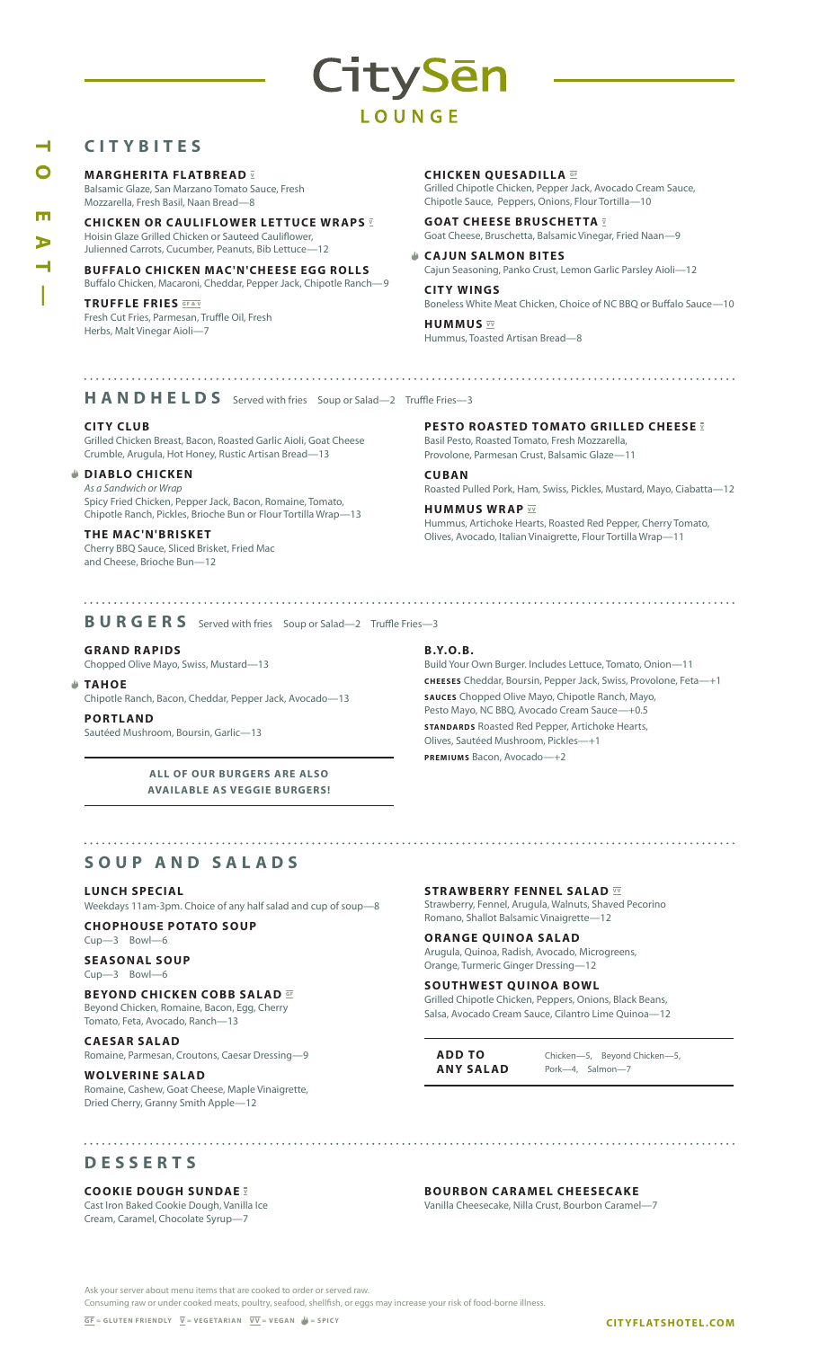## **CITYBITES**

**MARGHERITA FLATBREAD V** 

Balsamic Glaze, San Marzano Tomato Sauce, Fresh Mozzarella, Fresh Basil, Naan Bread—8

**CHICKEN OR CAULIFLOWER LETTUCE WRAPS <b>V** Hoisin Glaze Grilled Chicken or Sauteed Cauliflower, Julienned Carrots, Cucumber, Peanuts, Bib Lettuce—12

**BUFFALO CHICKEN MAC'N'CHEESE EGG ROLLS** Buffalo Chicken, Macaroni, Cheddar, Pepper Jack, Chipotle Ranch—9

#### **TRUFFLE FRIES GF&V** Fresh Cut Fries, Parmesan, Truffle Oil, Fresh Herbs, Malt Vinegar Aioli—7

**CHICKEN QUESADILLA**  $\overline{G}$ 

CitySēn

LOUNGE

Grilled Chipotle Chicken, Pepper Jack, Avocado Cream Sauce, Chipotle Sauce, Peppers, Onions, Flour Tortilla—10

**GOAT CHEESE BRUSCHETTA V** Goat Cheese, Bruschetta, Balsamic Vinegar, Fried Naan—9

**CAJUN SALMON BITES** Cajun Seasoning, Panko Crust, Lemon Garlic Parsley Aioli—12

**CITY WINGS** Boneless White Meat Chicken, Choice of NC BBQ or Buffalo Sauce—10

**HUMMUS**  $\overline{\mathbf{v}}$ Hummus, Toasted Artisan Bread—8

H A N D H E L D S Served with fries Soup or Salad-2 Truffle Fries-3

#### **CITY CLUB**

Grilled Chicken Breast, Bacon, Roasted Garlic Aioli, Goat Cheese Crumble, Arugula, Hot Honey, Rustic Artisan Bread—13

#### **DIABLO CHICKEN**

*As a Sandwich or Wrap* Spicy Fried Chicken, Pepper Jack, Bacon, Romaine, Tomato, Chipotle Ranch, Pickles, Brioche Bun or Flour Tortilla Wrap—13

#### **THE MAC'N'BR ISKET**

Cherry BBQ Sauce, Sliced Brisket, Fried Mac and Cheese, Brioche Bun—12

**PESTO ROASTED TOMATO GRILLED CHEESE V** Basil Pesto, Roasted Tomato, Fresh Mozzarella,

Provolone, Parmesan Crust, Balsamic Glaze—11

**CUBAN**  Roasted Pulled Pork, Ham, Swiss, Pickles, Mustard, Mayo, Ciabatta—12

**HUMMUS WRAP**  $\overline{v}$ Hummus, Artichoke Hearts, Roasted Red Pepper, Cherry Tomato, Olives, Avocado, Italian Vinaigrette, Flour Tortilla Wrap—11

### **BURGERS** Served with fries Soup or Salad—2 Truffle Fries—3

**G R AND R APIDS** 

Chopped Olive Mayo, Swiss, Mustard—13

#### **TAHOE**

Chipotle Ranch, Bacon, Cheddar, Pepper Jack, Avocado—13

**PORTL AND**  Sautéed Mushroom, Boursin, Garlic—13

> **ALL OF OUR BURGERS ARE ALSO AVAILABLE AS VEGGIE BURGERS!**

#### **SOUP AND SALADS**

#### **LUNCH SPECIAL**

Weekdays 11am-3pm. Choice of any half salad and cup of soup—8

**CHOPHOUSE POTATO SOUP** Cup—3 Bowl—6

#### **SEASONAL SOUP** Cup—3 Bowl—6

**BEYOND CHICKEN COBB SALAD**  $\overline{G}$ 

Beyond Chicken, Romaine, Bacon, Egg, Cherry Tomato, Feta, Avocado, Ranch—13

**CAESAR SALAD** Romaine, Parmesan, Croutons, Caesar Dressing—9

**WOLVERINE SALAD** Romaine, Cashew, Goat Cheese, Maple Vinaigrette, Dried Cherry, Granny Smith Apple—12

# 

**STRAWBERRY FENNEL SALAD**  $\overline{w}$ Strawberry, Fennel, Arugula, Walnuts, Shaved Pecorino Romano, Shallot Balsamic Vinaigrette—12

**ORANGE QUINOA SALAD** Arugula, Quinoa, Radish, Avocado, Microgreens, Orange, Turmeric Ginger Dressing—12

**SOUTHWEST QUINOA BOWL** Grilled Chipotle Chicken, Peppers, Onions, Black Beans, Salsa, Avocado Cream Sauce, Cilantro Lime Quinoa—12

**ADD TO ANY SALAD**

Chicken—5, Beyond Chicken—5, Pork—4, Salmon—7

**DESSERTS**

#### **COOKIE DOUGH SUNDAE V**

Cast Iron Baked Cookie Dough, Vanilla Ice Cream, Caramel, Chocolate Syrup—7

**BOURBON CARAMEL CHEESECAKE**

Vanilla Cheesecake, Nilla Crust, Bourbon Caramel—7

Ask your server about menu items that are cooked to order or served raw.

Consuming raw or under cooked meats, poultry, seafood, shellfish, or eggs may increase your risk of food-borne illness.

**TO EAT**m

- 1

# **B.Y.O. B.**

Build Your Own Burger. Includes Lettuce, Tomato, Onion-**CHEESES** Cheddar, Boursin, Pepper Jack, Swiss, Provolone, Feta—+1 **SAUCES** Chopped Olive Mayo, Chipotle Ranch, Mayo, Pesto Mayo, NC BBQ, Avocado Cream Sauce—+0.5 **STANDARDS** Roasted Red Pepper, Artichoke Hearts, Olives, Sautéed Mushroom, Pickles—+1 **PREMIUMS** Bacon, Avocado—+2